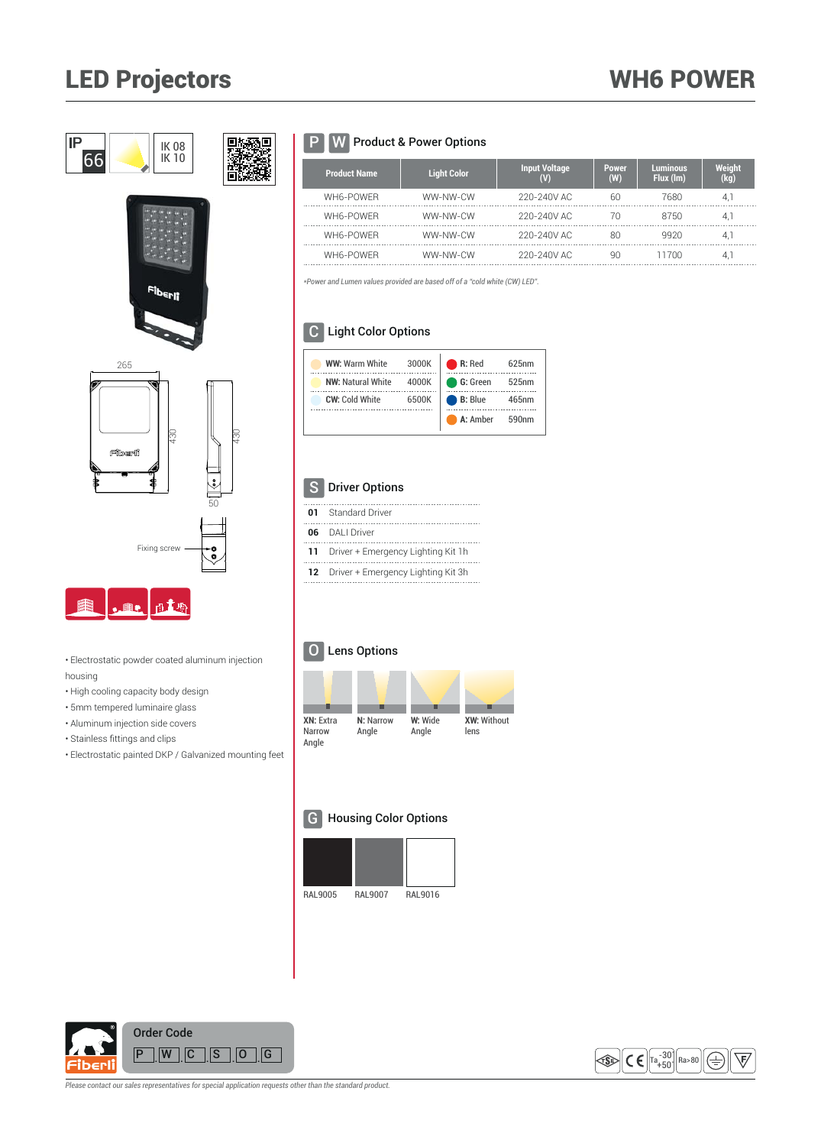# LED Projectors



- Electrostatic powder coated aluminum injection housing
- High cooling capacity body design
- 5mm tempered luminaire glass
- Aluminum injection side covers
- $\cdot$  Stainless fittings and clips
- Electrostatic painted DKP / Galvanized mounting feet

## P **W** Product & Power Options

| <b>Product Name</b> | <b>Light Color</b> | <b>Input Voltage</b> | <b>Power</b><br>(W) | <b>Luminous</b><br>Flux (lm) | Weight<br>(kg) |
|---------------------|--------------------|----------------------|---------------------|------------------------------|----------------|
| WH6-POWFR           | WW-NW-CW           | 220-240V AC          | 60                  | 7680                         | 4.             |
| WH6-POWFR           | WW-NW-CW           | 220-240V AC          | 70                  | 8750                         | 4.             |
| WH6-POWFR           | WW-NW-CW           | 220-240V AC          | 80                  | 9920                         | 4.1            |
| WH6-POWER           | WW-NW-CW           | 220-240V AC          | ٩N                  | 11700                        | 4.             |

*\*Power and Lumen values provided are based off of a "cold white (CW) LED".*

## C Light Color Options

| <b>WW: Warm White</b>    | 3000K | $\bullet$ R: Red | 625 <sub>nm</sub> |
|--------------------------|-------|------------------|-------------------|
| <b>NW: Natural White</b> | 4000K | G: Green         | 525nm             |
| <b>CW: Cold White</b>    | 6500K | <b>B: Blue</b>   | 465nm             |
|                          |       | A: Amber         | 590 <sub>nm</sub> |

## S Driver Options

| 01 Standard Driver                    |
|---------------------------------------|
| 06 DALI Driver                        |
| 11 Driver + Emergency Lighting Kit 1h |
| 12 Driver + Emergency Lighting Kit 3h |

#### O Lens Options



#### G Housing Color Options







*Please contact our sales representatives for special application requests other than the standard product.*

## WH6 POWER